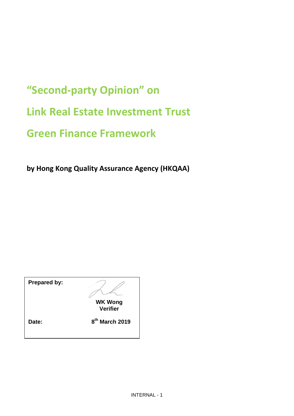# **"Second-party Opinion" on Link Real Estate Investment Trust Green Finance Framework**

**by Hong Kong Quality Assurance Agency (HKQAA)**

| <b>Prepared by:</b> |                                   |
|---------------------|-----------------------------------|
|                     | <b>WK Wong</b><br><b>Verifier</b> |
| Date:               | 8 <sup>th</sup> March 2019        |
|                     |                                   |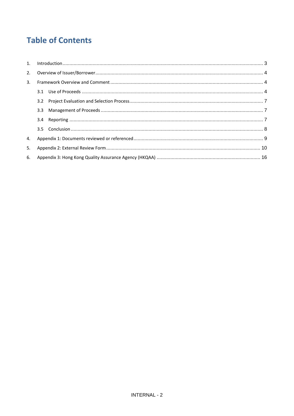# **Table of Contents**

| 3. |               |  |
|----|---------------|--|
|    |               |  |
|    | 3.2           |  |
|    | 3.3           |  |
|    | $3.4^{\circ}$ |  |
|    |               |  |
| 4. |               |  |
| 5. |               |  |
|    |               |  |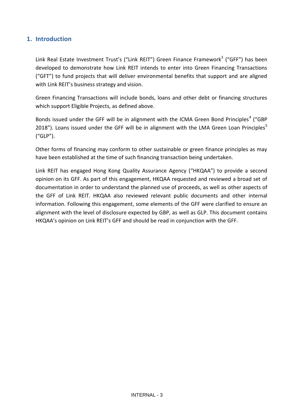# <span id="page-2-0"></span>**1. Introduction**

Link Real Estate Investment Trust's ("Link REIT") Green Finance Framework<sup>3</sup> ("GFF") has been developed to demonstrate how Link REIT intends to enter into Green Financing Transactions ("GFT") to fund projects that will deliver environmental benefits that support and are aligned with Link REIT's business strategy and vision.

Green Financing Transactions will include bonds, loans and other debt or financing structures which support Eligible Projects, as defined above.

Bonds issued under the GFF will be in alignment with the ICMA Green Bond Principles<sup>4</sup> ("GBP 2018"). Loans issued under the GFF will be in alignment with the LMA Green Loan Principles<sup>5</sup> ("GLP").

Other forms of financing may conform to other sustainable or green finance principles as may have been established at the time of such financing transaction being undertaken.

Link REIT has engaged Hong Kong Quality Assurance Agency ("HKQAA") to provide a second opinion on its GFF. As part of this engagement, HKQAA requested and reviewed a broad set of documentation in order to understand the planned use of proceeds, as well as other aspects of the GFF of Link REIT. HKQAA also reviewed relevant public documents and other internal information. Following this engagement, some elements of the GFF were clarified to ensure an alignment with the level of disclosure expected by GBP, as well as GLP. This document contains HKQAA's opinion on Link REIT's GFF and should be read in conjunction with the GFF.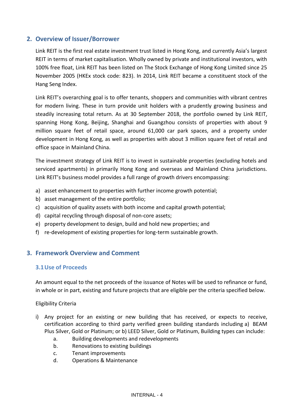# <span id="page-3-0"></span>**2. Overview of Issuer/Borrower**

Link REIT is the first real estate investment trust listed in Hong Kong, and currently Asia's largest REIT in terms of market capitalisation. Wholly owned by private and institutional investors, with 100% free float, Link REIT has been listed on The Stock Exchange of Hong Kong Limited since 25 November 2005 (HKEx stock code: 823). In 2014, Link REIT became a constituent stock of the Hang Seng Index.

Link REIT's overarching goal is to offer tenants, shoppers and communities with vibrant centres for modern living. These in turn provide unit holders with a prudently growing business and steadily increasing total return. As at 30 September 2018, the [portfolio](http://www.thelinkreit.com/EN/properties/Pages/Shopping-Centre.aspx?cid=1) owned by Link REIT, spanning Hong Kong, Beijing, Shanghai and Guangzhou consists of properties with about 9 million square feet of retail space, around 61,000 car park spaces, and a property under development in Hong Kong, as well as properties with about 3 million square feet of retail and office space in Mainland China.

The investment strategy of Link REIT is to invest in sustainable properties (excluding hotels and serviced apartments) in primarily Hong Kong and overseas and Mainland China jurisdictions. Link REIT's business model provides a full range of growth drivers encompassing:

- a) asset enhancement to properties with further income growth potential;
- b) asset management of the entire portfolio;
- c) acquisition of quality assets with both income and capital growth potential;
- d) capital recycling through disposal of non-core assets;
- e) property development to design, build and hold new properties; and
- <span id="page-3-1"></span>f) re-development of existing properties for long-term sustainable growth.

# <span id="page-3-2"></span>**3. Framework Overview and Comment**

# **3.1Use of Proceeds**

An amount equal to the net proceeds of the issuance of Notes will be used to refinance or fund, in whole or in part, existing and future projects that are eligible per the criteria specified below.

Eligibility Criteria

- i) Any project for an existing or new building that has received, or expects to receive, certification according to third party verified green building standards including a) BEAM Plus Silver, Gold or Platinum; or b) LEED Silver, Gold or Platinum, Building types can include:
	- a. Building developments and redevelopments
	- b. Renovations to existing buildings
	- c. Tenant improvements
	- d. Operations & Maintenance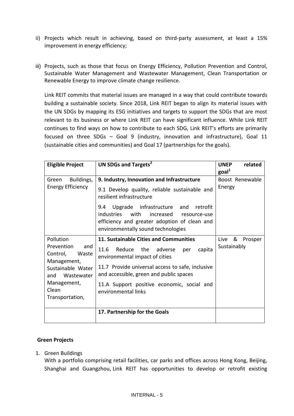- ii) Projects which result in achieving, based on third-party assessment, at least a 15% improvement in energy efficiency;
- iii) Projects, such as those that focus on Energy Efficiency, Pollution Prevention and Control, Sustainable Water Management and Wastewater Management, Clean Transportation or Renewable Energy to improve climate change resilience.

Link REIT commits that material issues are managed in a way that could contribute towards building a sustainable society. Since 2018, Link REIT began to align its material issues with the UN SDGs by mapping its ESG initiatives and targets to support the SDGs that are most relevant to its business or where Link REIT can have significant influence. While Link REIT continues to find ways on how to contribute to each SDG, Link REIT's efforts are primarily focused on three SDGs – Goal 9 (industry, innovation and infrastructure), Goal 11 (sustainable cities and communities) and Goal 17 (partnerships for the goals).

| <b>Eligible Project</b>                                                                                                                                 | UN SDGs and Targets <sup>2</sup>                                                                                                                                                                                                                                                                                   | <b>UNEP</b><br>related<br>goal <sup>1</sup> |
|---------------------------------------------------------------------------------------------------------------------------------------------------------|--------------------------------------------------------------------------------------------------------------------------------------------------------------------------------------------------------------------------------------------------------------------------------------------------------------------|---------------------------------------------|
| Buildings,<br>Green<br><b>Energy Efficiency</b>                                                                                                         | 9. Industry, Innovation and Infrastructure<br>9.1 Develop quality, reliable sustainable and<br>resilient infrastructure<br>9.4 Upgrade infrastructure and retrofit<br><i>industries</i><br>with<br>increased<br>resource-use<br>efficiency and greater adoption of clean and<br>environmentally sound technologies | Boost Renewable<br>Energy                   |
| Pollution<br>Prevention<br>and<br>Control,<br>Waste<br>Management,<br>Sustainable Water<br>Wastewater<br>and<br>Management,<br>Clean<br>Transportation, | 11. Sustainable Cities and Communities<br>11.6<br>Reduce<br>the<br>capita<br>adverse<br>per<br>environmental impact of cities<br>11.7 Provide universal access to safe, inclusive<br>and accessible, green and public spaces<br>11.A Support positive economic, social and<br>environmental links                  | Live<br>& Prosper<br>Sustainably            |
|                                                                                                                                                         | 17. Partnership for the Goals                                                                                                                                                                                                                                                                                      |                                             |

#### **Green Projects**

1. Green Buildings

With a portfolio comprising retail facilities, car parks and offices across Hong Kong, Beijing, Shanghai and Guangzhou, Link REIT has opportunities to develop or retrofit existing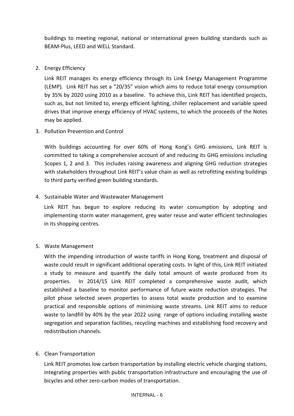buildings to meeting regional, national or international green building standards such as BEAM-Plus, LEED and WELL Standard.

# 2. Energy Efficiency

Link REIT manages its energy efficiency through its Link Energy Management Programme (LEMP). Link REIT has set a "20/35" vision which aims to reduce total energy consumption by 35% by 2020 using 2010 as a baseline. To achieve this, Link REIT has identified projects, such as, but not limited to, energy efficient lighting, chiller replacement and variable speed drives that improve energy efficiency of HVAC systems, to which the proceeds of the Notes may be applied.

3. Pollution Prevention and Control

With buildings accounting for over 60% of Hong Kong's GHG emissions, Link REIT is committed to taking a comprehensive account of and reducing its GHG emissions including Scopes 1, 2 and 3. This includes raising awareness and aligning GHG reduction strategies with stakeholders throughout Link REIT's value chain as well as retrofitting existing buildings to third party verified green building standards.

# 4. Sustainable Water and Wastewater Management

Link REIT has begun to explore reducing its water consumption by adopting and implementing storm water management, grey water reuse and water efficient technologies in its shopping centres.

# 5. Waste Management

With the impending introduction of waste tariffs in Hong Kong, treatment and disposal of waste could result in significant additional operating costs. In light of this, Link REIT initiated a study to measure and quantify the daily total amount of waste produced from its properties. In 2014/15 Link REIT completed a comprehensive waste audit, which established a baseline to monitor performance of future waste reduction strategies. The pilot phase selected seven properties to assess total waste production and to examine practical and responsible options of minimising waste streams. Link REIT aims to reduce waste to landfill by 40% by the year 2022 using range of options including installing waste segregation and separation facilities, recycling machines and establishing food recovery and redistribution channels.

# 6. Clean Transportation

Link REIT promotes low carbon transportation by installing electric vehicle charging stations, integrating properties with public transportation infrastructure and encouraging the use of bicycles and other zero-carbon modes of transportation.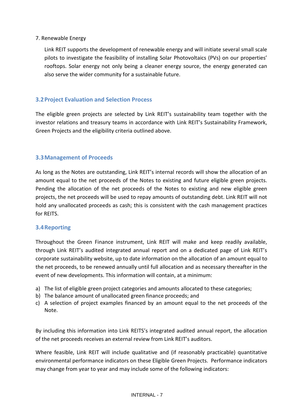# 7. Renewable Energy

Link REIT supports the development of renewable energy and will initiate several small scale pilots to investigate the feasibility of installing Solar Photovoltaics (PVs) on our properties' rooftops. Solar energy not only being a cleaner energy source, the energy generated can also serve the wider community for a sustainable future.

# <span id="page-6-0"></span>**3.2Project Evaluation and Selection Process**

The eligible green projects are selected by Link REIT's sustainability team together with the investor relations and treasury teams in accordance with Link REIT's Sustainability Framework, Green Projects and the eligibility criteria outlined above.

# <span id="page-6-1"></span>**3.3Management of Proceeds**

As long as the Notes are outstanding, Link REIT's internal records will show the allocation of an amount equal to the net proceeds of the Notes to existing and future eligible green projects. Pending the allocation of the net proceeds of the Notes to existing and new eligible green projects, the net proceeds will be used to repay amounts of outstanding debt. Link REIT will not hold any unallocated proceeds as cash; this is consistent with the cash management practices for REITS.

# <span id="page-6-2"></span>**3.4Reporting**

Throughout the Green Finance instrument, Link REIT will make and keep readily available, through Link REIT's audited integrated annual report and on a dedicated page of Link REIT's corporate sustainability website, up to date information on the allocation of an amount equal to the net proceeds, to be renewed annually until full allocation and as necessary thereafter in the event of new developments. This information will contain, at a minimum:

- a) The list of eligible green project categories and amounts allocated to these categories;
- b) The balance amount of unallocated green finance proceeds; and
- c) A selection of project examples financed by an amount equal to the net proceeds of the Note.

By including this information into Link REITS's integrated audited annual report, the allocation of the net proceeds receives an external review from Link REIT's auditors.

Where feasible, Link REIT will include qualitative and (if reasonably practicable) quantitative environmental performance indicators on these Eligible Green Projects. Performance indicators may change from year to year and may include some of the following indicators: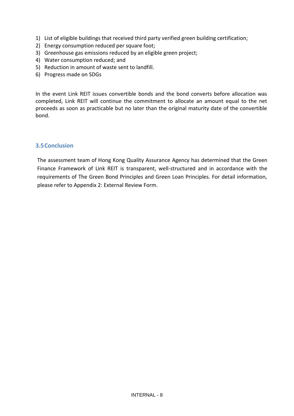- 1) List of eligible buildings that received third party verified green building certification;
- 2) Energy consumption reduced per square foot;
- 3) Greenhouse gas emissions reduced by an eligible green project;
- 4) Water consumption reduced; and
- 5) Reduction in amount of waste sent to landfill.
- 6) Progress made on SDGs

In the event Link REIT issues convertible bonds and the bond converts before allocation was completed, Link REIT will continue the commitment to allocate an amount equal to the net proceeds as soon as practicable but no later than the original maturity date of the convertible bond.

#### <span id="page-7-0"></span>**3.5Conclusion**

The assessment team of Hong Kong Quality Assurance Agency has determined that the Green Finance Framework of Link REIT is transparent, well-structured and in accordance with the requirements of The Green Bond Principles and Green Loan Principles. For detail information, please refer to Appendix 2: External Review Form.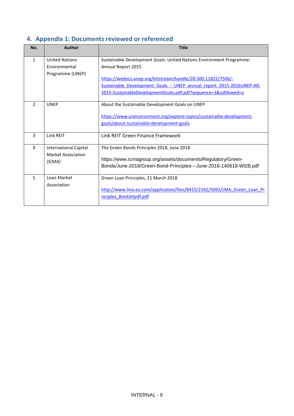# <span id="page-8-0"></span>**4. Appendix 1: Documents reviewed or referenced**

| No.            | Author                       | <b>Title</b>                                                             |  |
|----------------|------------------------------|--------------------------------------------------------------------------|--|
| $\mathbf{1}$   | <b>United Nations</b>        | Sustainable Development Goals: United Nations Environment Programme:     |  |
|                | Environmental                | Annual Report 2015                                                       |  |
|                | Programme (UNEP)             |                                                                          |  |
|                |                              | https://wedocs.unep.org/bitstream/handle/20.500.11822/7506/-             |  |
|                |                              | Sustainable Development Goals - UNEP annual report 2015-2016UNEP-AR-     |  |
|                |                              | 2015-SustainableDevelopmentGoals.pdf.pdf?sequence=3&isAllowed=y          |  |
|                |                              |                                                                          |  |
| $\overline{2}$ | <b>UNEP</b>                  | About the Sustainable Development Goals on UNEP                          |  |
|                |                              | https://www.unenvironment.org/explore-topics/sustainable-development-    |  |
|                |                              |                                                                          |  |
|                |                              | goals/about-sustainable-development-goals                                |  |
| $\overline{3}$ | Link REIT                    | Link REIT Green Finance Framework                                        |  |
|                |                              |                                                                          |  |
| 4              | <b>International Capital</b> | The Green Bonds Principles 2018, June 2018                               |  |
|                | Market Association           |                                                                          |  |
|                | (ICMA)                       | https://www.icmagroup.org/assets/documents/Regulatory/Green-             |  |
|                |                              | Bonds/June-2018/Green-Bond-Principles---June-2018-140618-WEB.pdf         |  |
| 5              | Loan Market                  | Green Loan Principles, 21 March 2018                                     |  |
| Association    |                              |                                                                          |  |
|                |                              | http://www.lma.eu.com/application/files/8415/2162/5092/LMA Green Loan Pr |  |
|                |                              | inciples Bookletpdf.pdf                                                  |  |
|                |                              |                                                                          |  |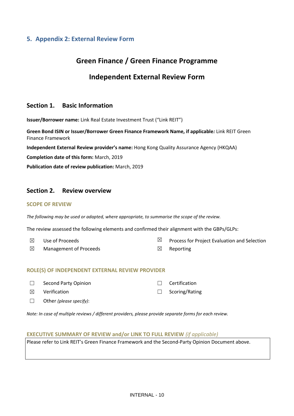# <span id="page-9-0"></span>**5. Appendix 2: External Review Form**

# **Green Finance / Green Finance Programme**

# **Independent External Review Form**

# **Section 1. Basic Information**

**Issuer/Borrower name:** Link Real Estate Investment Trust ("Link REIT")

**Green Bond ISIN or Issuer/Borrower Green Finance Framework Name, if applicable***:* Link REIT Green Finance Framework

**Independent External Review provider's name:** Hong Kong Quality Assurance Agency (HKQAA)

**Completion date of this form:** March, 2019

**Publication date of review publication:** March, 2019

# **Section 2. Review overview**

#### **SCOPE OF REVIEW**

*The following may be used or adapted, where appropriate, to summarise the scope of the review.* 

The review assessed the following elements and confirmed their alignment with the GBPs/GLPs:

 $\boxtimes$  Use of Proceeds  $\boxtimes$  Process for Project Evaluation and Selection  $\boxtimes$  Management of Proceeds  $\boxtimes$  Reporting

#### **ROLE(S) OF INDEPENDENT EXTERNAL REVIEW PROVIDER**

| $\Box$ | Second Party Opinion           | $\Box$ Certification  |
|--------|--------------------------------|-----------------------|
|        | $\boxtimes$ Verification       | $\Box$ Scoring/Rating |
|        | $\Box$ Other (please specify): |                       |

*Note: In case of multiple reviews / different providers, please provide separate forms for each review.* 

#### **EXECUTIVE SUMMARY OF REVIEW and/or LINK TO FULL REVIEW** *(if applicable)*

Please refer to Link REIT's Green Finance Framework and the Second-Party Opinion Document above.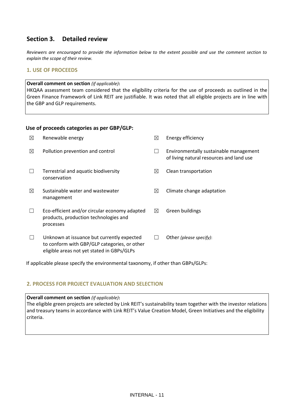# **Section 3. Detailed review**

*Reviewers are encouraged to provide the information below to the extent possible and use the comment section to explain the scope of their review.* 

#### **1. USE OF PROCEEDS**

#### **Overall comment on section** *(if applicable)***:**

HKQAA assessment team considered that the eligibility criteria for the use of proceeds as outlined in the Green Finance Framework of Link REIT are justifiable. It was noted that all eligible projects are in line with the GBP and GLP requirements.

#### **Use of proceeds categories as per GBP/GLP:**

| ⊠ | Renewable energy                                                                                                                         | ⊠           | Energy efficiency                                                                  |
|---|------------------------------------------------------------------------------------------------------------------------------------------|-------------|------------------------------------------------------------------------------------|
| ⊠ | Pollution prevention and control                                                                                                         |             | Environmentally sustainable management<br>of living natural resources and land use |
|   | Terrestrial and aquatic biodiversity<br>conservation                                                                                     | ⊠           | Clean transportation                                                               |
| ⊠ | Sustainable water and wastewater<br>management                                                                                           | ⊠           | Climate change adaptation                                                          |
|   | Eco-efficient and/or circular economy adapted<br>products, production technologies and<br>processes                                      | $\boxtimes$ | Green buildings                                                                    |
|   | Unknown at issuance but currently expected<br>to conform with GBP/GLP categories, or other<br>eligible areas not yet stated in GBPs/GLPs |             | Other (please specify):                                                            |

If applicable please specify the environmental taxonomy, if other than GBPs/GLPs:

#### **2. PROCESS FOR PROJECT EVALUATION AND SELECTION**

#### **Overall comment on section** *(if applicable)***:**

The eligible green projects are selected by Link REIT's sustainability team together with the investor relations and treasury teams in accordance with Link REIT's Value Creation Model, Green Initiatives and the eligibility criteria.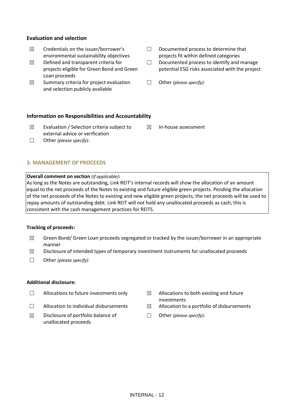#### **Evaluation and selection**

- $\boxtimes$  Credentials on the issuer/borrower's environmental sustainability objectives
- $\boxtimes$  Defined and transparent criteria for projects eligible for Green Bond and Green Loan proceeds
- $\boxtimes$  Summary criteria for project evaluation and selection publicly available
- ☐ Documented process to determine that projects fit within defined categories
- ☐ Documented process to identify and manage potential ESG risks associated with the project
- ☐ Other *(please specify):*

 $\boxtimes$  In-house assessment

#### **Information on Responsibilities and Accountability**

- $\boxtimes$  Evaluation / Selection criteria subject to external advice or verification
- ☐ Other *(please specify)*:

#### **3. MANAGEMENT OF PROCEEDS**

#### **Overall comment on section** *(if applicable)***:**

As long as the Notes are outstanding, Link REIT's internal records will show the allocation of an amount equal to the net proceeds of the Notes to existing and future eligible green projects. Pending the allocation of the net proceeds of the Notes to existing and new eligible green projects, the net proceeds will be used to repay amounts of outstanding debt. Link REIT will not hold any unallocated proceeds as cash; this is consistent with the cash management practices for REITS.

#### **Tracking of proceeds:**

- $\boxtimes$  Green Bond/ Green Loan proceeds segregated or tracked by the issuer/borrower in an appropriate manner
- $\boxtimes$  Disclosure of intended types of temporary investment instruments for unallocated proceeds
- ☐ Other *(please specify)*:

#### **Additional disclosure:**

- $\Box$  Allocations to future investments only  $\boxtimes$  Allocations to both existing and future
- 
- $\boxtimes$  Disclosure of portfolio balance of unallocated proceeds
- investments
- $\Box$  Allocation to individual disbursements  $\boxtimes$  Allocation to a portfolio of disbursements
	- ☐ Other *(please specify)*: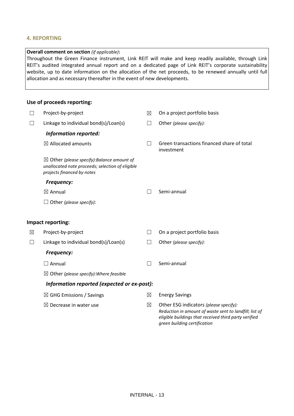#### **4. REPORTING**

#### **Overall comment on section** *(if applicable)***:**

Throughout the Green Finance instrument, Link REIT will make and keep readily available, through Link REIT's audited integrated annual report and on a dedicated page of Link REIT's corporate sustainability website, up to date information on the allocation of the net proceeds, to be renewed annually until full allocation and as necessary thereafter in the event of new developments.

#### **Use of proceeds reporting:**

| $\Box$ | Project-by-project                                                                                                                      | ⊠                 | On a project portfolio basis                                                                                                                              |  |
|--------|-----------------------------------------------------------------------------------------------------------------------------------------|-------------------|-----------------------------------------------------------------------------------------------------------------------------------------------------------|--|
| П      | Linkage to individual bond(s)/Loan(s)                                                                                                   | $\vert \ \ \vert$ | Other (please specify):                                                                                                                                   |  |
|        | <b>Information reported:</b>                                                                                                            |                   |                                                                                                                                                           |  |
|        | $\boxtimes$ Allocated amounts                                                                                                           | $\Box$            | Green transactions financed share of total<br>investment                                                                                                  |  |
|        | $\boxtimes$ Other (please specify): Balance amount of<br>unallocated note proceeds; selection of eligible<br>projects financed by notes |                   |                                                                                                                                                           |  |
|        | <b>Frequency:</b>                                                                                                                       |                   |                                                                                                                                                           |  |
|        | $\boxtimes$ Annual                                                                                                                      |                   | Semi-annual                                                                                                                                               |  |
|        | $\Box$ Other (please specify):                                                                                                          |                   |                                                                                                                                                           |  |
|        | Impact reporting:                                                                                                                       |                   |                                                                                                                                                           |  |
| ⊠      | Project-by-project                                                                                                                      | П                 | On a project portfolio basis                                                                                                                              |  |
| $\Box$ | Linkage to individual bond(s)/Loan(s)                                                                                                   | ப                 | Other (please specify):                                                                                                                                   |  |
|        | <b>Frequency:</b>                                                                                                                       |                   |                                                                                                                                                           |  |
|        | $\Box$ Annual                                                                                                                           | $\Box$            | Semi-annual                                                                                                                                               |  |
|        | $\boxtimes$ Other (please specify): Where feasible                                                                                      |                   |                                                                                                                                                           |  |
|        | Information reported (expected or ex-post):                                                                                             |                   |                                                                                                                                                           |  |
|        | $\boxtimes$ GHG Emissions / Savings                                                                                                     | $\boxtimes$       | <b>Energy Savings</b>                                                                                                                                     |  |
|        | $\boxtimes$ Decrease in water use                                                                                                       | ⊠                 | Other ESG indicators (please specify):<br>Reduction in amount of waste sent to landfill; list of<br>eligible buildings that received third party verified |  |

*green building certification*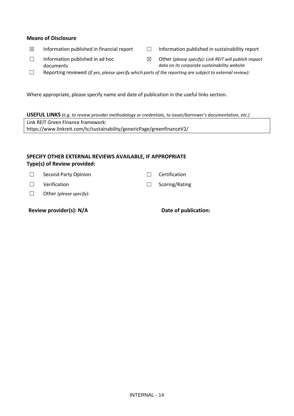#### **Means of Disclosure**

- 
- ☒ Information published in financial report ☐ Information published in sustainability report
- ☐ Information published in ad hoc documents
- ☒ Other *(please specify): Link REIT will publish impact data on its corporate sustainability website*
- ☐ Reporting reviewed *(if yes, please specify which parts of the reporting are subject to external review):*

Where appropriate, please specify name and date of publication in the useful links section.

**USEFUL LINKS** *(e.g. to review provider methodology or credentials, to issuer/borrower's documentation, etc.)* Link REIT Green Finance framework: https://www.linkreit.com/tc/sustainability/genericPage/greenfinanceV2/

#### **SPECIFY OTHER EXTERNAL REVIEWS AVAILABLE, IF APPROPRIATE Type(s) of Review provided:**

☐ Second Party Opinion ☐ Certification

- ☐ Verification ☐ Scoring/Rating
- ☐ Other *(please specify):*

**Review provider(s): N/A Date of publication:**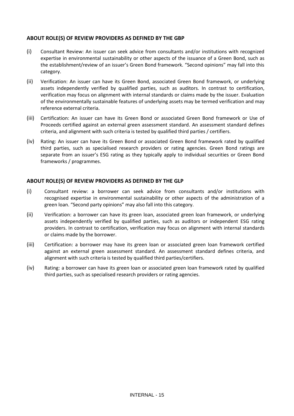#### **ABOUT ROLE(S) OF REVIEW PROVIDERS AS DEFINED BY THE GBP**

- (i) Consultant Review: An issuer can seek advice from consultants and/or institutions with recognized expertise in environmental sustainability or other aspects of the issuance of a Green Bond, such as the establishment/review of an issuer's Green Bond framework. "Second opinions" may fall into this category.
- (ii) Verification: An issuer can have its Green Bond, associated Green Bond framework, or underlying assets independently verified by qualified parties, such as auditors. In contrast to certification, verification may focus on alignment with internal standards or claims made by the issuer. Evaluation of the environmentally sustainable features of underlying assets may be termed verification and may reference external criteria.
- (iii) Certification: An issuer can have its Green Bond or associated Green Bond framework or Use of Proceeds certified against an external green assessment standard. An assessment standard defines criteria, and alignment with such criteria is tested by qualified third parties / certifiers.
- (iv) Rating: An issuer can have its Green Bond or associated Green Bond framework rated by qualified third parties, such as specialised research providers or rating agencies. Green Bond ratings are separate from an issuer's ESG rating as they typically apply to individual securities or Green Bond frameworks / programmes.

#### **ABOUT ROLE(S) OF REVIEW PROVIDERS AS DEFINED BY THE GLP**

- (i) Consultant review: a borrower can seek advice from consultants and/or institutions with recognised expertise in environmental sustainability or other aspects of the administration of a green loan. "Second party opinions" may also fall into this category.
- (ii) Verification: a borrower can have its green loan, associated green loan framework, or underlying assets independently verified by qualified parties, such as auditors or independent ESG rating providers. In contrast to certification, verification may focus on alignment with internal standards or claims made by the borrower.
- (iii) Certification: a borrower may have its green loan or associated green loan framework certified against an external green assessment standard. An assessment standard defines criteria, and alignment with such criteria is tested by qualified third parties/certifiers.
- (iv) Rating: a borrower can have its green loan or associated green loan framework rated by qualified third parties, such as specialised research providers or rating agencies.